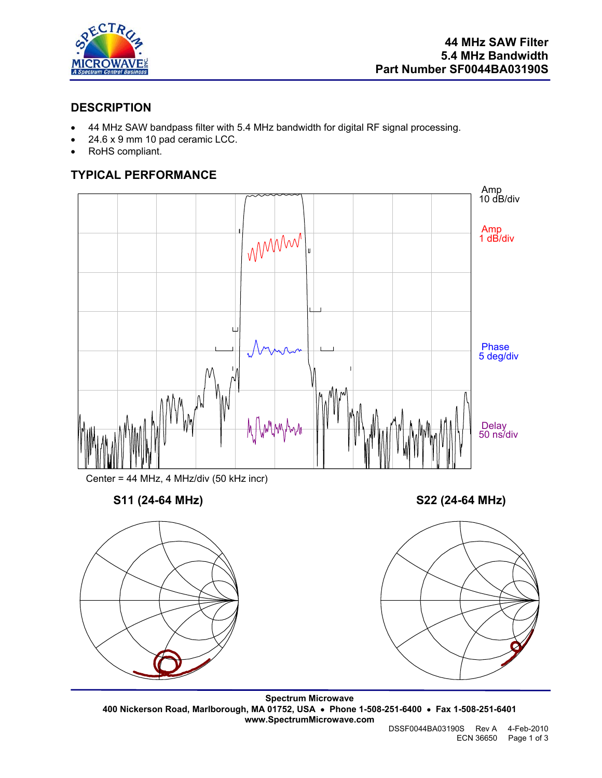

## **DESCRIPTION**

- 44 MHz SAW bandpass filter with 5.4 MHz bandwidth for digital RF signal processing.
- 24.6 x 9 mm 10 pad ceramic LCC.
- RoHS compliant.

# **TYPICAL PERFORMANCE**



Center = 44 MHz, 4 MHz/div (50 kHz incr)



**S11 (24-64 MHz) S22 (24-64 MHz)** 



**Spectrum Microwave 400 Nickerson Road, Marlborough, MA 01752, USA** • **Phone 1-508-251-6400** • **Fax 1-508-251-6401 www.SpectrumMicrowave.com** 

 DSSF0044BA03190S Rev A 4-Feb-2010 ECN 36650 Page 1 of 3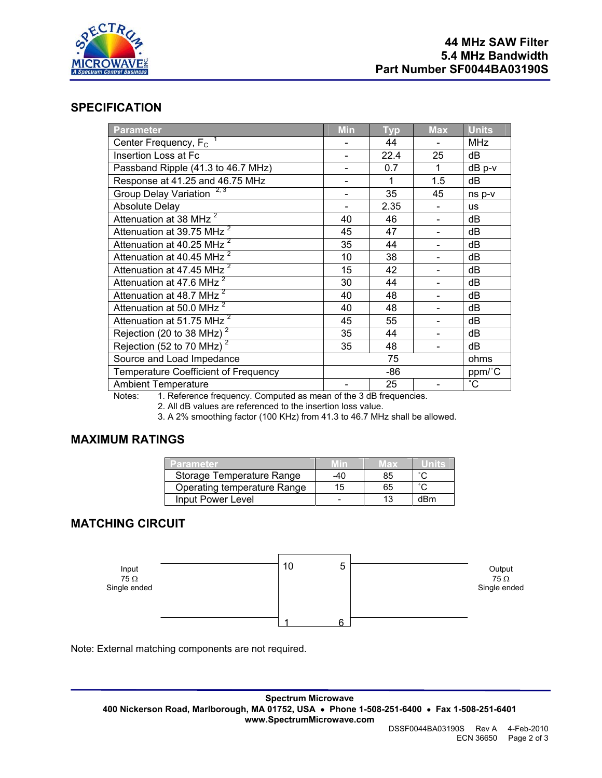

#### **SPECIFICATION**

| Parameter                                                                                           | <b>Min</b> | <b>Typ</b> | <b>Max</b>               | <b>Units</b>    |
|-----------------------------------------------------------------------------------------------------|------------|------------|--------------------------|-----------------|
| Center Frequency, $F_c$                                                                             |            | 44         |                          | <b>MHz</b>      |
| Insertion Loss at Fc                                                                                |            | 22.4       | 25                       | dB              |
| Passband Ripple (41.3 to 46.7 MHz)                                                                  |            | 0.7        | 1                        | $dB$ p- $v$     |
| Response at 41.25 and 46.75 MHz                                                                     |            | 1          | 1.5                      | dB              |
| 2, 3<br><b>Group Delay Variation</b>                                                                |            | 35         | 45                       | ns p-v          |
| <b>Absolute Delay</b>                                                                               |            | 2.35       |                          | <b>us</b>       |
| Attenuation at 38 MHz <sup>2</sup>                                                                  | 40         | 46         | $\overline{\phantom{0}}$ | dB              |
| Attenuation at 39.75 MHz <sup>2</sup>                                                               | 45         | 47         |                          | dB              |
| Attenuation at 40.25 MHz <sup>2</sup>                                                               | 35         | 44         |                          | dB              |
| Attenuation at 40.45 MHz <sup>2</sup>                                                               | 10         | 38         |                          | dB              |
| Attenuation at 47.45 MHz <sup>2</sup>                                                               | 15         | 42         |                          | dB              |
| Attenuation at 47.6 MHz <sup>2</sup>                                                                | 30         | 44         |                          | dB              |
| Attenuation at 48.7 MHz <sup>2</sup>                                                                | 40         | 48         |                          | dB              |
| Attenuation at 50.0 MHz <sup>2</sup>                                                                | 40         | 48         |                          | dB              |
| Attenuation at 51.75 MHz <sup>2</sup>                                                               | 45         | 55         |                          | dB              |
| Rejection (20 to 38 MHz) $^2$                                                                       | 35         | 44         |                          | dB              |
| Rejection (52 to 70 MHz) <sup>2</sup>                                                               | 35         | 48         |                          | dB              |
| Source and Load Impedance                                                                           | 75         |            |                          | ohms            |
| <b>Temperature Coefficient of Frequency</b>                                                         | -86        |            |                          | ppm/°C          |
| <b>Ambient Temperature</b><br>Natori 1 Defensas fracusaeu Computed es mesos ef the 2 dD fracuscates |            | 25         |                          | $\rm ^{\circ}C$ |

Notes: 1. Reference frequency. Computed as mean of the 3 dB frequencies.

2. All dB values are referenced to the insertion loss value.

3. A 2% smoothing factor (100 KHz) from 41.3 to 46.7 MHz shall be allowed.

### **MAXIMUM RATINGS**

| Parameter                   | 7 I N | 15 D.Y |     |
|-----------------------------|-------|--------|-----|
| Storage Temperature Range   | -40   | 85     |     |
| Operating temperature Range | 15    | 65     |     |
| Input Power Level           |       |        | dBm |

## **MATCHING CIRCUIT**



Note: External matching components are not required.